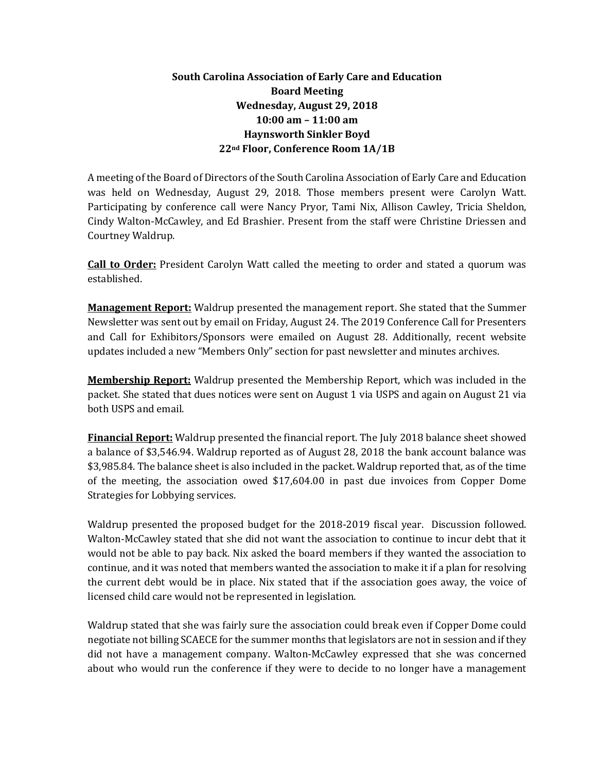## **South Carolina Association of Early Care and Education Board Meeting Wednesday, August 29, 2018 10:00 am – 11:00 am Haynsworth Sinkler Boyd 22nd Floor, Conference Room 1A/1B**

A meeting of the Board of Directors of the South Carolina Association of Early Care and Education was held on Wednesday, August 29, 2018. Those members present were Carolyn Watt. Participating by conference call were Nancy Pryor, Tami Nix, Allison Cawley, Tricia Sheldon, Cindy Walton-McCawley, and Ed Brashier. Present from the staff were Christine Driessen and Courtney Waldrup.

**Call to Order:** President Carolyn Watt called the meeting to order and stated a quorum was established.

**Management Report:** Waldrup presented the management report. She stated that the Summer Newsletter was sent out by email on Friday, August 24. The 2019 Conference Call for Presenters and Call for Exhibitors/Sponsors were emailed on August 28. Additionally, recent website updates included a new "Members Only" section for past newsletter and minutes archives.

**Membership Report:** Waldrup presented the Membership Report, which was included in the packet. She stated that dues notices were sent on August 1 via USPS and again on August 21 via both USPS and email.

**Financial Report:** Waldrup presented the financial report. The July 2018 balance sheet showed a balance of \$3,546.94. Waldrup reported as of August 28, 2018 the bank account balance was \$3,985.84. The balance sheet is also included in the packet. Waldrup reported that, as of the time of the meeting, the association owed \$17,604.00 in past due invoices from Copper Dome Strategies for Lobbying services.

Waldrup presented the proposed budget for the 2018-2019 fiscal year. Discussion followed. Walton-McCawley stated that she did not want the association to continue to incur debt that it would not be able to pay back. Nix asked the board members if they wanted the association to continue, and it was noted that members wanted the association to make it if a plan for resolving the current debt would be in place. Nix stated that if the association goes away, the voice of licensed child care would not be represented in legislation.

Waldrup stated that she was fairly sure the association could break even if Copper Dome could negotiate not billing SCAECE for the summer months that legislators are not in session and if they did not have a management company. Walton-McCawley expressed that she was concerned about who would run the conference if they were to decide to no longer have a management